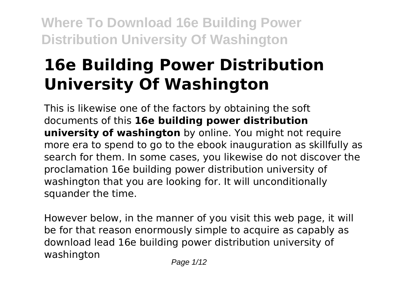# **16e Building Power Distribution University Of Washington**

This is likewise one of the factors by obtaining the soft documents of this **16e building power distribution university of washington** by online. You might not require more era to spend to go to the ebook inauguration as skillfully as search for them. In some cases, you likewise do not discover the proclamation 16e building power distribution university of washington that you are looking for. It will unconditionally squander the time.

However below, in the manner of you visit this web page, it will be for that reason enormously simple to acquire as capably as download lead 16e building power distribution university of washington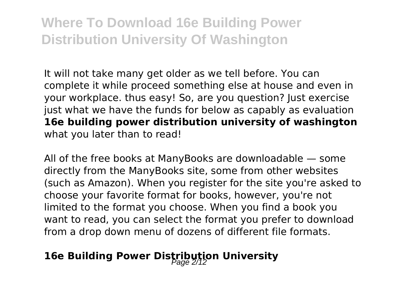It will not take many get older as we tell before. You can complete it while proceed something else at house and even in your workplace. thus easy! So, are you question? Just exercise just what we have the funds for below as capably as evaluation **16e building power distribution university of washington** what you later than to read!

All of the free books at ManyBooks are downloadable — some directly from the ManyBooks site, some from other websites (such as Amazon). When you register for the site you're asked to choose your favorite format for books, however, you're not limited to the format you choose. When you find a book you want to read, you can select the format you prefer to download from a drop down menu of dozens of different file formats.

### **16e Building Power Distribution University**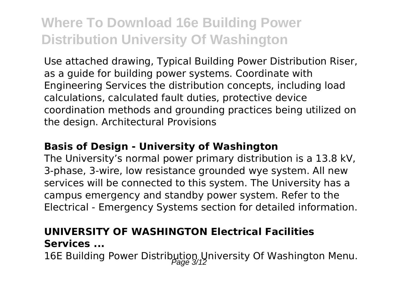Use attached drawing, Typical Building Power Distribution Riser, as a guide for building power systems. Coordinate with Engineering Services the distribution concepts, including load calculations, calculated fault duties, protective device coordination methods and grounding practices being utilized on the design. Architectural Provisions

#### **Basis of Design - University of Washington**

The University's normal power primary distribution is a 13.8 kV, 3-phase, 3-wire, low resistance grounded wye system. All new services will be connected to this system. The University has a campus emergency and standby power system. Refer to the Electrical - Emergency Systems section for detailed information.

### **UNIVERSITY OF WASHINGTON Electrical Facilities Services ...**

16E Building Power Distribution University Of Washington Menu.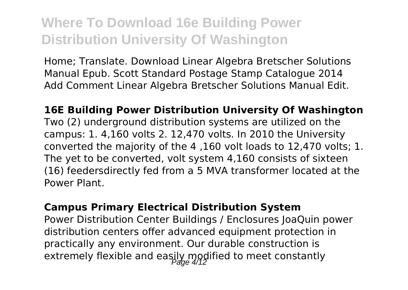Home; Translate. Download Linear Algebra Bretscher Solutions Manual Epub. Scott Standard Postage Stamp Catalogue 2014 Add Comment Linear Algebra Bretscher Solutions Manual Edit.

**16E Building Power Distribution University Of Washington** Two (2) underground distribution systems are utilized on the campus: 1. 4,160 volts 2. 12,470 volts. In 2010 the University converted the majority of the 4 ,160 volt loads to 12,470 volts; 1. The yet to be converted, volt system 4,160 consists of sixteen (16) feedersdirectly fed from a 5 MVA transformer located at the Power Plant.

#### **Campus Primary Electrical Distribution System**

Power Distribution Center Buildings / Enclosures JoaQuin power distribution centers offer advanced equipment protection in practically any environment. Our durable construction is extremely flexible and easily modified to meet constantly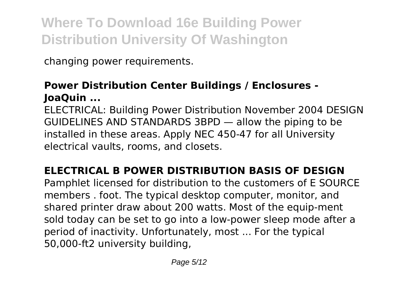changing power requirements.

### **Power Distribution Center Buildings / Enclosures - JoaQuin ...**

ELECTRICAL: Building Power Distribution November 2004 DESIGN GUIDELINES AND STANDARDS 3BPD — allow the piping to be installed in these areas. Apply NEC 450-47 for all University electrical vaults, rooms, and closets.

### **ELECTRICAL B POWER DISTRIBUTION BASIS OF DESIGN**

Pamphlet licensed for distribution to the customers of E SOURCE members . foot. The typical desktop computer, monitor, and shared printer draw about 200 watts. Most of the equip-ment sold today can be set to go into a low-power sleep mode after a period of inactivity. Unfortunately, most ... For the typical 50,000-ft2 university building,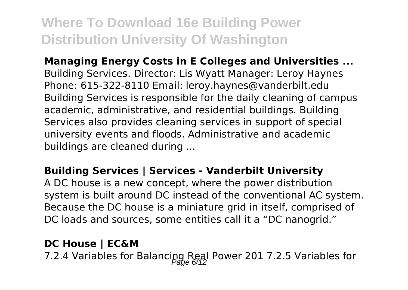**Managing Energy Costs in E Colleges and Universities ...** Building Services. Director: Lis Wyatt Manager: Leroy Haynes Phone: 615-322-8110 Email: leroy.haynes@vanderbilt.edu Building Services is responsible for the daily cleaning of campus academic, administrative, and residential buildings. Building Services also provides cleaning services in support of special university events and floods. Administrative and academic buildings are cleaned during ...

#### **Building Services | Services - Vanderbilt University**

A DC house is a new concept, where the power distribution system is built around DC instead of the conventional AC system. Because the DC house is a miniature grid in itself, comprised of DC loads and sources, some entities call it a "DC nanogrid."

### **DC House | EC&M**

7.2.4 Variables for Balancipg Real Power 201 7.2.5 Variables for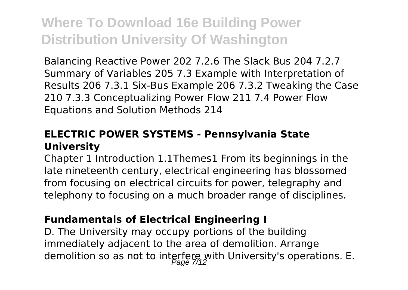Balancing Reactive Power 202 7.2.6 The Slack Bus 204 7.2.7 Summary of Variables 205 7.3 Example with Interpretation of Results 206 7.3.1 Six-Bus Example 206 7.3.2 Tweaking the Case 210 7.3.3 Conceptualizing Power Flow 211 7.4 Power Flow Equations and Solution Methods 214

#### **ELECTRIC POWER SYSTEMS - Pennsylvania State University**

Chapter 1 Introduction 1.1Themes1 From its beginnings in the late nineteenth century, electrical engineering has blossomed from focusing on electrical circuits for power, telegraphy and telephony to focusing on a much broader range of disciplines.

#### **Fundamentals of Electrical Engineering I**

D. The University may occupy portions of the building immediately adjacent to the area of demolition. Arrange demolition so as not to interfere with University's operations. E.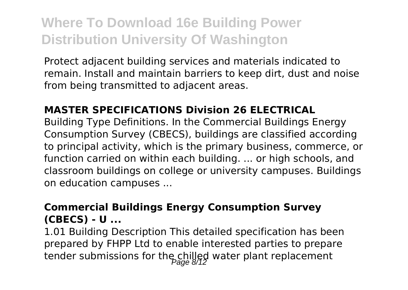Protect adjacent building services and materials indicated to remain. Install and maintain barriers to keep dirt, dust and noise from being transmitted to adjacent areas.

#### **MASTER SPECIFICATIONS Division 26 ELECTRICAL**

Building Type Definitions. In the Commercial Buildings Energy Consumption Survey (CBECS), buildings are classified according to principal activity, which is the primary business, commerce, or function carried on within each building. ... or high schools, and classroom buildings on college or university campuses. Buildings on education campuses ...

#### **Commercial Buildings Energy Consumption Survey (CBECS) - U ...**

1.01 Building Description This detailed specification has been prepared by FHPP Ltd to enable interested parties to prepare tender submissions for the chilled water plant replacement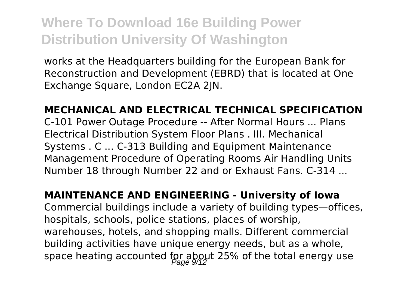works at the Headquarters building for the European Bank for Reconstruction and Development (EBRD) that is located at One Exchange Square, London EC2A 2JN.

**MECHANICAL AND ELECTRICAL TECHNICAL SPECIFICATION** C-101 Power Outage Procedure -- After Normal Hours ... Plans Electrical Distribution System Floor Plans . III. Mechanical Systems . C ... C-313 Building and Equipment Maintenance Management Procedure of Operating Rooms Air Handling Units Number 18 through Number 22 and or Exhaust Fans. C-314 ...

**MAINTENANCE AND ENGINEERING - University of Iowa** Commercial buildings include a variety of building types—offices, hospitals, schools, police stations, places of worship, warehouses, hotels, and shopping malls. Different commercial building activities have unique energy needs, but as a whole, space heating accounted for about 25% of the total energy use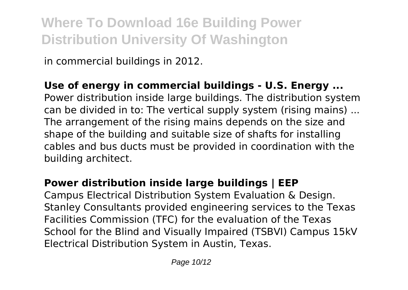in commercial buildings in 2012.

**Use of energy in commercial buildings - U.S. Energy ...** Power distribution inside large buildings. The distribution system can be divided in to: The vertical supply system (rising mains) ... The arrangement of the rising mains depends on the size and shape of the building and suitable size of shafts for installing cables and bus ducts must be provided in coordination with the building architect.

### **Power distribution inside large buildings | EEP**

Campus Electrical Distribution System Evaluation & Design. Stanley Consultants provided engineering services to the Texas Facilities Commission (TFC) for the evaluation of the Texas School for the Blind and Visually Impaired (TSBVI) Campus 15kV Electrical Distribution System in Austin, Texas.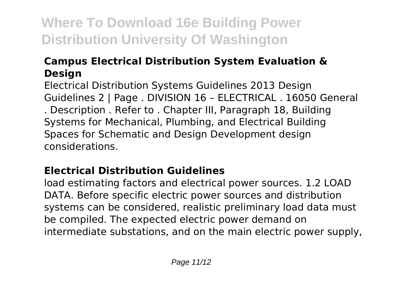### **Campus Electrical Distribution System Evaluation & Design**

Electrical Distribution Systems Guidelines 2013 Design Guidelines 2 | Page . DIVISION 16 – ELECTRICAL . 16050 General . Description . Refer to . Chapter III, Paragraph 18, Building Systems for Mechanical, Plumbing, and Electrical Building Spaces for Schematic and Design Development design considerations.

### **Electrical Distribution Guidelines**

load estimating factors and electrical power sources. 1.2 LOAD DATA. Before specific electric power sources and distribution systems can be considered, realistic preliminary load data must be compiled. The expected electric power demand on intermediate substations, and on the main electric power supply,